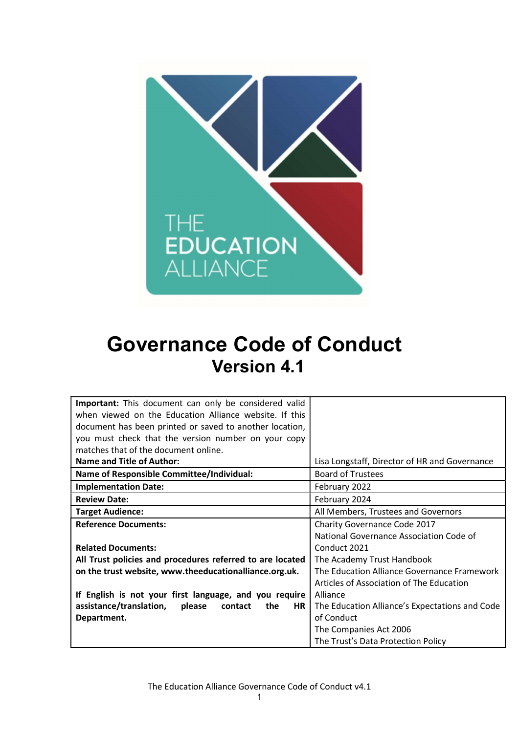

# Governance Code of Conduct Version 4.1

| <b>Important:</b> This document can only be considered valid |                                                |
|--------------------------------------------------------------|------------------------------------------------|
| when viewed on the Education Alliance website. If this       |                                                |
| document has been printed or saved to another location,      |                                                |
|                                                              |                                                |
| you must check that the version number on your copy          |                                                |
| matches that of the document online.                         |                                                |
| Name and Title of Author:                                    | Lisa Longstaff, Director of HR and Governance  |
| <b>Name of Responsible Committee/Individual:</b>             | <b>Board of Trustees</b>                       |
| <b>Implementation Date:</b>                                  | February 2022                                  |
| <b>Review Date:</b>                                          | February 2024                                  |
| <b>Target Audience:</b>                                      | All Members, Trustees and Governors            |
| <b>Reference Documents:</b>                                  | Charity Governance Code 2017                   |
|                                                              | National Governance Association Code of        |
| <b>Related Documents:</b>                                    | Conduct 2021                                   |
| All Trust policies and procedures referred to are located    | The Academy Trust Handbook                     |
| on the trust website, www.theeducationalliance.org.uk.       | The Education Alliance Governance Framework    |
|                                                              | Articles of Association of The Education       |
| If English is not your first language, and you require       | Alliance                                       |
| assistance/translation,<br>the<br>please<br>HR.<br>contact   | The Education Alliance's Expectations and Code |
| Department.                                                  | of Conduct                                     |
|                                                              | The Companies Act 2006                         |
|                                                              |                                                |
|                                                              | The Trust's Data Protection Policy             |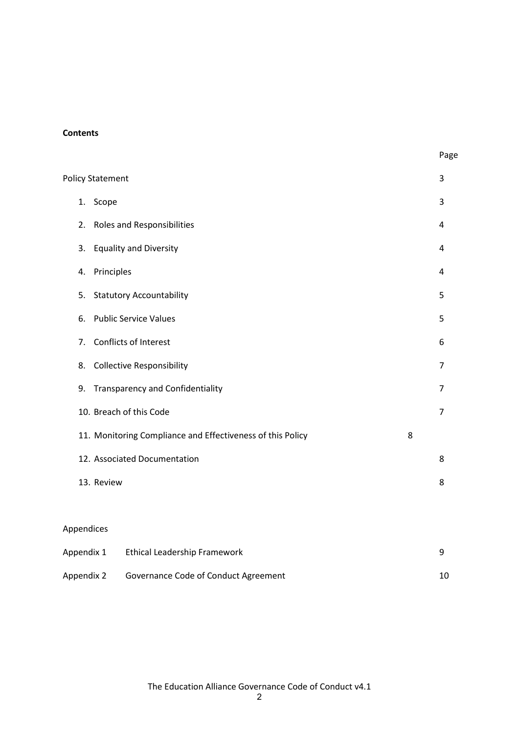## **Contents**

|            | <b>Policy Statement</b>                                         |                |
|------------|-----------------------------------------------------------------|----------------|
|            | 1. Scope                                                        | 3              |
|            | <b>Roles and Responsibilities</b><br>2.                         | 4              |
|            | <b>Equality and Diversity</b><br>3.                             | $\overline{4}$ |
|            | Principles<br>4.                                                | 4              |
|            | <b>Statutory Accountability</b><br>5.                           | 5              |
|            | <b>Public Service Values</b><br>6.                              | 5              |
|            | Conflicts of Interest<br>7.                                     | 6              |
|            | <b>Collective Responsibility</b><br>8.                          | $\overline{7}$ |
|            | <b>Transparency and Confidentiality</b><br>9.                   | 7              |
|            | 10. Breach of this Code                                         | $\overline{7}$ |
|            | 11. Monitoring Compliance and Effectiveness of this Policy<br>8 |                |
|            | 12. Associated Documentation                                    | 8              |
|            | 13. Review                                                      | 8              |
|            |                                                                 |                |
| Appendices |                                                                 |                |
|            | Appendix 1<br>Ethical Leadership Framework                      | 9              |
|            |                                                                 |                |

Appendix 2 Governance Code of Conduct Agreement 10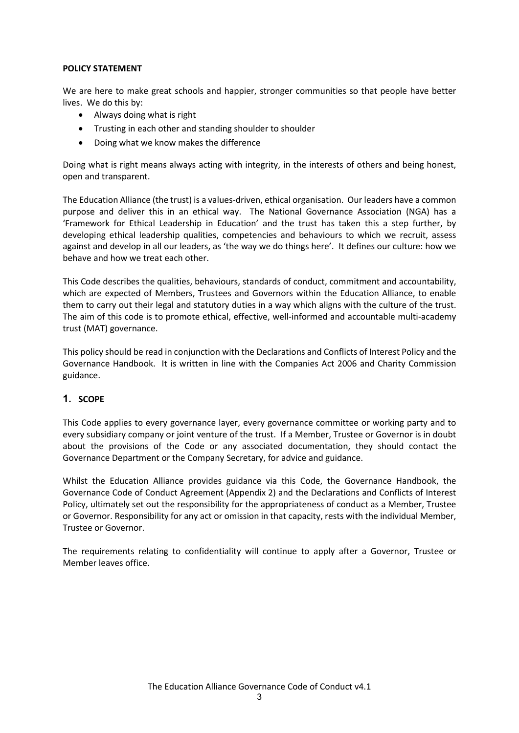#### POLICY STATEMENT

We are here to make great schools and happier, stronger communities so that people have better lives. We do this by:

- Always doing what is right
- Trusting in each other and standing shoulder to shoulder
- Doing what we know makes the difference

Doing what is right means always acting with integrity, in the interests of others and being honest, open and transparent.

The Education Alliance (the trust) is a values-driven, ethical organisation. Our leaders have a common purpose and deliver this in an ethical way. The National Governance Association (NGA) has a 'Framework for Ethical Leadership in Education' and the trust has taken this a step further, by developing ethical leadership qualities, competencies and behaviours to which we recruit, assess against and develop in all our leaders, as 'the way we do things here'. It defines our culture: how we behave and how we treat each other.

This Code describes the qualities, behaviours, standards of conduct, commitment and accountability, which are expected of Members, Trustees and Governors within the Education Alliance, to enable them to carry out their legal and statutory duties in a way which aligns with the culture of the trust. The aim of this code is to promote ethical, effective, well-informed and accountable multi-academy trust (MAT) governance.

This policy should be read in conjunction with the Declarations and Conflicts of Interest Policy and the Governance Handbook. It is written in line with the Companies Act 2006 and Charity Commission guidance.

## 1. SCOPE

This Code applies to every governance layer, every governance committee or working party and to every subsidiary company or joint venture of the trust. If a Member, Trustee or Governor is in doubt about the provisions of the Code or any associated documentation, they should contact the Governance Department or the Company Secretary, for advice and guidance.

Whilst the Education Alliance provides guidance via this Code, the Governance Handbook, the Governance Code of Conduct Agreement (Appendix 2) and the Declarations and Conflicts of Interest Policy, ultimately set out the responsibility for the appropriateness of conduct as a Member, Trustee or Governor. Responsibility for any act or omission in that capacity, rests with the individual Member, Trustee or Governor.

The requirements relating to confidentiality will continue to apply after a Governor, Trustee or Member leaves office.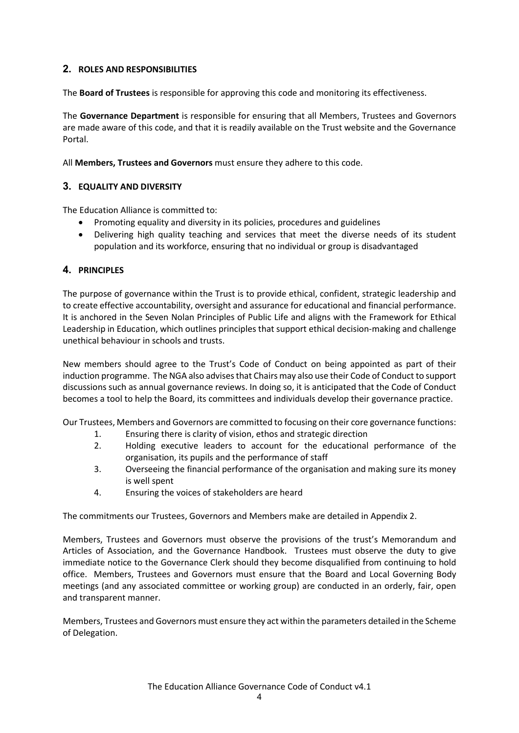## 2. ROLES AND RESPONSIBILITIES

The **Board of Trustees** is responsible for approving this code and monitoring its effectiveness.

The Governance Department is responsible for ensuring that all Members, Trustees and Governors are made aware of this code, and that it is readily available on the Trust website and the Governance Portal.

All Members, Trustees and Governors must ensure they adhere to this code.

## 3. EQUALITY AND DIVERSITY

The Education Alliance is committed to:

- Promoting equality and diversity in its policies, procedures and guidelines
- Delivering high quality teaching and services that meet the diverse needs of its student population and its workforce, ensuring that no individual or group is disadvantaged

## 4. PRINCIPLES

The purpose of governance within the Trust is to provide ethical, confident, strategic leadership and to create effective accountability, oversight and assurance for educational and financial performance. It is anchored in the Seven Nolan Principles of Public Life and aligns with the Framework for Ethical Leadership in Education, which outlines principles that support ethical decision-making and challenge unethical behaviour in schools and trusts.

New members should agree to the Trust's Code of Conduct on being appointed as part of their induction programme. The NGA also advises that Chairs may also use their Code of Conduct to support discussions such as annual governance reviews. In doing so, it is anticipated that the Code of Conduct becomes a tool to help the Board, its committees and individuals develop their governance practice.

Our Trustees, Members and Governors are committed to focusing on their core governance functions:

- 1. Ensuring there is clarity of vision, ethos and strategic direction
- 2. Holding executive leaders to account for the educational performance of the organisation, its pupils and the performance of staff
- 3. Overseeing the financial performance of the organisation and making sure its money is well spent
- 4. Ensuring the voices of stakeholders are heard

The commitments our Trustees, Governors and Members make are detailed in Appendix 2.

Members, Trustees and Governors must observe the provisions of the trust's Memorandum and Articles of Association, and the Governance Handbook. Trustees must observe the duty to give immediate notice to the Governance Clerk should they become disqualified from continuing to hold office. Members, Trustees and Governors must ensure that the Board and Local Governing Body meetings (and any associated committee or working group) are conducted in an orderly, fair, open and transparent manner.

Members, Trustees and Governors must ensure they act within the parameters detailed in the Scheme of Delegation.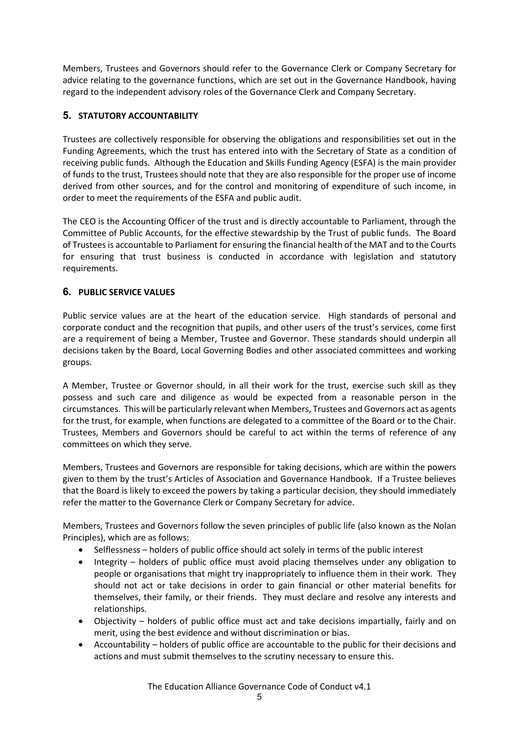Members, Trustees and Governors should refer to the Governance Clerk or Company Secretary for advice relating to the governance functions, which are set out in the Governance Handbook, having regard to the independent advisory roles of the Governance Clerk and Company Secretary.

## 5. STATUTORY ACCOUNTABILITY

Trustees are collectively responsible for observing the obligations and responsibilities set out in the Funding Agreements, which the trust has entered into with the Secretary of State as a condition of receiving public funds. Although the Education and Skills Funding Agency (ESFA) is the main provider of funds to the trust, Trustees should note that they are also responsible for the proper use of income derived from other sources, and for the control and monitoring of expenditure of such income, in order to meet the requirements of the ESFA and public audit.

The CEO is the Accounting Officer of the trust and is directly accountable to Parliament, through the Committee of Public Accounts, for the effective stewardship by the Trust of public funds. The Board of Trustees is accountable to Parliament for ensuring the financial health of the MAT and to the Courts for ensuring that trust business is conducted in accordance with legislation and statutory requirements.

## 6. PUBLIC SERVICE VALUES

Public service values are at the heart of the education service. High standards of personal and corporate conduct and the recognition that pupils, and other users of the trust's services, come first are a requirement of being a Member, Trustee and Governor. These standards should underpin all decisions taken by the Board, Local Governing Bodies and other associated committees and working groups.

A Member, Trustee or Governor should, in all their work for the trust, exercise such skill as they possess and such care and diligence as would be expected from a reasonable person in the circumstances. This will be particularly relevant when Members, Trustees and Governors act as agents for the trust, for example, when functions are delegated to a committee of the Board or to the Chair. Trustees, Members and Governors should be careful to act within the terms of reference of any committees on which they serve.

Members, Trustees and Governors are responsible for taking decisions, which are within the powers given to them by the trust's Articles of Association and Governance Handbook. If a Trustee believes that the Board is likely to exceed the powers by taking a particular decision, they should immediately refer the matter to the Governance Clerk or Company Secretary for advice.

Members, Trustees and Governors follow the seven principles of public life (also known as the Nolan Principles), which are as follows:

- Selflessness holders of public office should act solely in terms of the public interest
- Integrity holders of public office must avoid placing themselves under any obligation to people or organisations that might try inappropriately to influence them in their work. They should not act or take decisions in order to gain financial or other material benefits for themselves, their family, or their friends. They must declare and resolve any interests and relationships.
- Objectivity holders of public office must act and take decisions impartially, fairly and on merit, using the best evidence and without discrimination or bias.
- Accountability holders of public office are accountable to the public for their decisions and actions and must submit themselves to the scrutiny necessary to ensure this.

The Education Alliance Governance Code of Conduct v4.1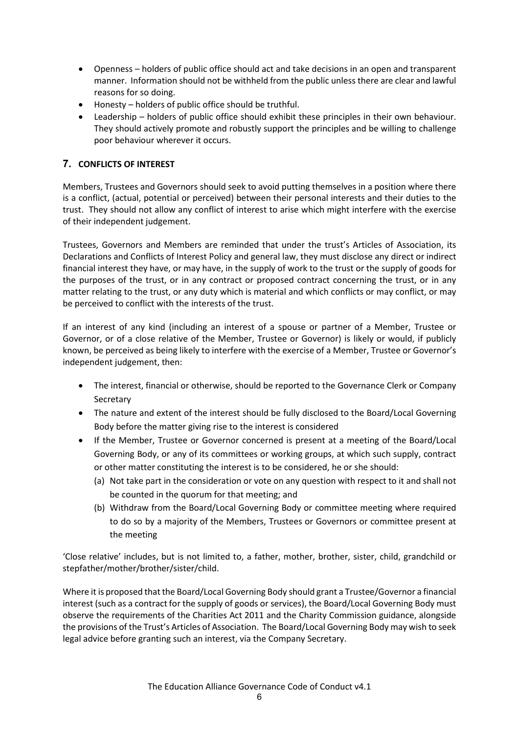- Openness holders of public office should act and take decisions in an open and transparent manner. Information should not be withheld from the public unless there are clear and lawful reasons for so doing.
- Honesty holders of public office should be truthful.
- Leadership holders of public office should exhibit these principles in their own behaviour. They should actively promote and robustly support the principles and be willing to challenge poor behaviour wherever it occurs.

## 7. CONFLICTS OF INTEREST

Members, Trustees and Governors should seek to avoid putting themselves in a position where there is a conflict, (actual, potential or perceived) between their personal interests and their duties to the trust. They should not allow any conflict of interest to arise which might interfere with the exercise of their independent judgement.

Trustees, Governors and Members are reminded that under the trust's Articles of Association, its Declarations and Conflicts of Interest Policy and general law, they must disclose any direct or indirect financial interest they have, or may have, in the supply of work to the trust or the supply of goods for the purposes of the trust, or in any contract or proposed contract concerning the trust, or in any matter relating to the trust, or any duty which is material and which conflicts or may conflict, or may be perceived to conflict with the interests of the trust.

If an interest of any kind (including an interest of a spouse or partner of a Member, Trustee or Governor, or of a close relative of the Member, Trustee or Governor) is likely or would, if publicly known, be perceived as being likely to interfere with the exercise of a Member, Trustee or Governor's independent judgement, then:

- The interest, financial or otherwise, should be reported to the Governance Clerk or Company Secretary
- The nature and extent of the interest should be fully disclosed to the Board/Local Governing Body before the matter giving rise to the interest is considered
- If the Member, Trustee or Governor concerned is present at a meeting of the Board/Local Governing Body, or any of its committees or working groups, at which such supply, contract or other matter constituting the interest is to be considered, he or she should:
	- (a) Not take part in the consideration or vote on any question with respect to it and shall not be counted in the quorum for that meeting; and
	- (b) Withdraw from the Board/Local Governing Body or committee meeting where required to do so by a majority of the Members, Trustees or Governors or committee present at the meeting

'Close relative' includes, but is not limited to, a father, mother, brother, sister, child, grandchild or stepfather/mother/brother/sister/child.

Where it is proposed that the Board/Local Governing Body should grant a Trustee/Governor a financial interest (such as a contract for the supply of goods or services), the Board/Local Governing Body must observe the requirements of the Charities Act 2011 and the Charity Commission guidance, alongside the provisions of the Trust's Articles of Association. The Board/Local Governing Body may wish to seek legal advice before granting such an interest, via the Company Secretary.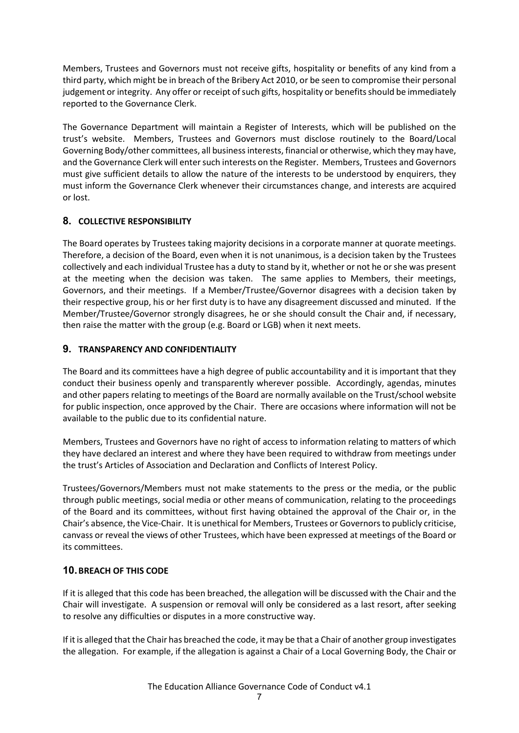Members, Trustees and Governors must not receive gifts, hospitality or benefits of any kind from a third party, which might be in breach of the Bribery Act 2010, or be seen to compromise their personal judgement or integrity. Any offer or receipt of such gifts, hospitality or benefits should be immediately reported to the Governance Clerk.

The Governance Department will maintain a Register of Interests, which will be published on the trust's website. Members, Trustees and Governors must disclose routinely to the Board/Local Governing Body/other committees, all business interests, financial or otherwise, which they may have, and the Governance Clerk will enter such interests on the Register. Members, Trustees and Governors must give sufficient details to allow the nature of the interests to be understood by enquirers, they must inform the Governance Clerk whenever their circumstances change, and interests are acquired or lost.

## 8. COLLECTIVE RESPONSIBILITY

The Board operates by Trustees taking majority decisions in a corporate manner at quorate meetings. Therefore, a decision of the Board, even when it is not unanimous, is a decision taken by the Trustees collectively and each individual Trustee has a duty to stand by it, whether or not he or she was present at the meeting when the decision was taken. The same applies to Members, their meetings, Governors, and their meetings. If a Member/Trustee/Governor disagrees with a decision taken by their respective group, his or her first duty is to have any disagreement discussed and minuted. If the Member/Trustee/Governor strongly disagrees, he or she should consult the Chair and, if necessary, then raise the matter with the group (e.g. Board or LGB) when it next meets.

## 9. TRANSPARENCY AND CONFIDENTIALITY

The Board and its committees have a high degree of public accountability and it is important that they conduct their business openly and transparently wherever possible. Accordingly, agendas, minutes and other papers relating to meetings of the Board are normally available on the Trust/school website for public inspection, once approved by the Chair. There are occasions where information will not be available to the public due to its confidential nature.

Members, Trustees and Governors have no right of access to information relating to matters of which they have declared an interest and where they have been required to withdraw from meetings under the trust's Articles of Association and Declaration and Conflicts of Interest Policy.

Trustees/Governors/Members must not make statements to the press or the media, or the public through public meetings, social media or other means of communication, relating to the proceedings of the Board and its committees, without first having obtained the approval of the Chair or, in the Chair's absence, the Vice-Chair. It is unethical for Members, Trustees or Governors to publicly criticise, canvass or reveal the views of other Trustees, which have been expressed at meetings of the Board or its committees.

## 10. BREACH OF THIS CODE

If it is alleged that this code has been breached, the allegation will be discussed with the Chair and the Chair will investigate. A suspension or removal will only be considered as a last resort, after seeking to resolve any difficulties or disputes in a more constructive way.

If it is alleged that the Chair has breached the code, it may be that a Chair of another group investigates the allegation. For example, if the allegation is against a Chair of a Local Governing Body, the Chair or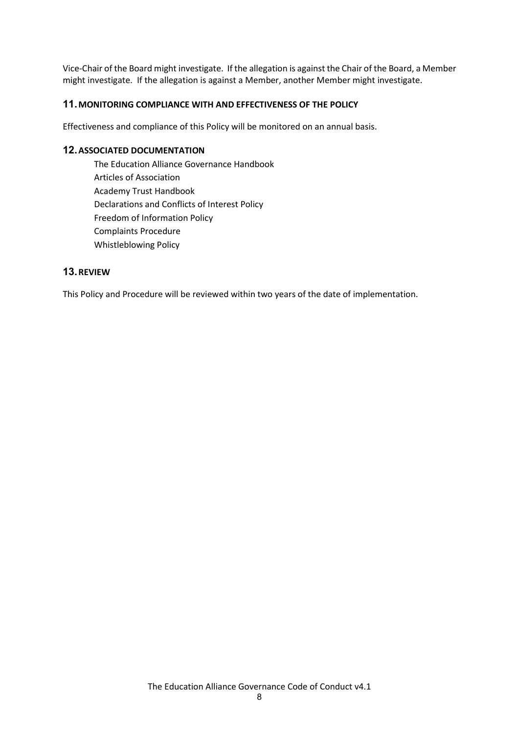Vice-Chair of the Board might investigate. If the allegation is against the Chair of the Board, a Member might investigate. If the allegation is against a Member, another Member might investigate.

## 11. MONITORING COMPLIANCE WITH AND EFFECTIVENESS OF THE POLICY

Effectiveness and compliance of this Policy will be monitored on an annual basis.

## 12. ASSOCIATED DOCUMENTATION

The Education Alliance Governance Handbook Articles of Association Academy Trust Handbook Declarations and Conflicts of Interest Policy Freedom of Information Policy Complaints Procedure Whistleblowing Policy

## 13. REVIEW

This Policy and Procedure will be reviewed within two years of the date of implementation.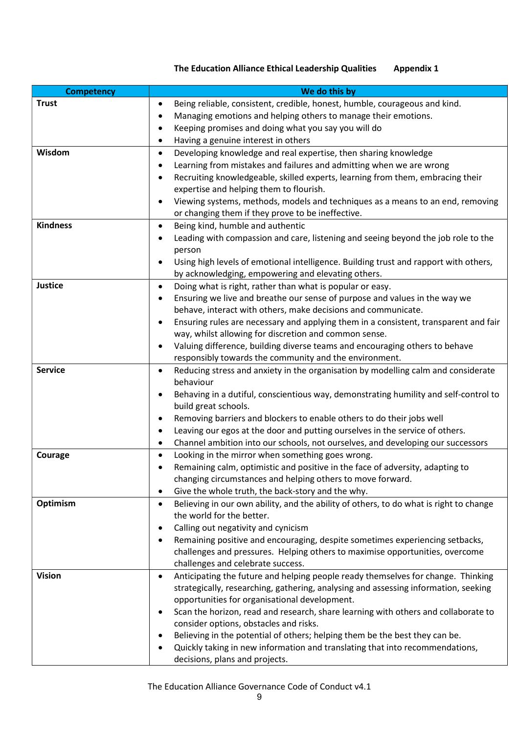## The Education Alliance Ethical Leadership Qualities Appendix 1

| <b>Competency</b> | We do this by                                                                                       |
|-------------------|-----------------------------------------------------------------------------------------------------|
| <b>Trust</b>      | Being reliable, consistent, credible, honest, humble, courageous and kind.<br>$\bullet$             |
|                   | Managing emotions and helping others to manage their emotions.<br>٠                                 |
|                   | Keeping promises and doing what you say you will do<br>$\bullet$                                    |
|                   | Having a genuine interest in others<br>$\bullet$                                                    |
| Wisdom            | Developing knowledge and real expertise, then sharing knowledge<br>$\bullet$                        |
|                   | Learning from mistakes and failures and admitting when we are wrong<br>$\bullet$                    |
|                   | Recruiting knowledgeable, skilled experts, learning from them, embracing their<br>$\bullet$         |
|                   | expertise and helping them to flourish.                                                             |
|                   | Viewing systems, methods, models and techniques as a means to an end, removing<br>$\bullet$         |
|                   | or changing them if they prove to be ineffective.                                                   |
| <b>Kindness</b>   | Being kind, humble and authentic<br>$\bullet$                                                       |
|                   | Leading with compassion and care, listening and seeing beyond the job role to the<br>$\bullet$      |
|                   | person                                                                                              |
|                   | Using high levels of emotional intelligence. Building trust and rapport with others,<br>$\bullet$   |
|                   | by acknowledging, empowering and elevating others.                                                  |
| <b>Justice</b>    | Doing what is right, rather than what is popular or easy.<br>$\bullet$                              |
|                   | Ensuring we live and breathe our sense of purpose and values in the way we<br>$\bullet$             |
|                   | behave, interact with others, make decisions and communicate.                                       |
|                   | Ensuring rules are necessary and applying them in a consistent, transparent and fair<br>$\bullet$   |
|                   | way, whilst allowing for discretion and common sense.                                               |
|                   | Valuing difference, building diverse teams and encouraging others to behave<br>٠                    |
| <b>Service</b>    | responsibly towards the community and the environment.                                              |
|                   | Reducing stress and anxiety in the organisation by modelling calm and considerate<br>٠<br>behaviour |
|                   | Behaving in a dutiful, conscientious way, demonstrating humility and self-control to<br>$\bullet$   |
|                   | build great schools.                                                                                |
|                   | Removing barriers and blockers to enable others to do their jobs well<br>$\bullet$                  |
|                   | Leaving our egos at the door and putting ourselves in the service of others.<br>$\bullet$           |
|                   | Channel ambition into our schools, not ourselves, and developing our successors<br>$\bullet$        |
| Courage           | Looking in the mirror when something goes wrong.<br>$\bullet$                                       |
|                   | Remaining calm, optimistic and positive in the face of adversity, adapting to<br>٠                  |
|                   | changing circumstances and helping others to move forward.                                          |
|                   | Give the whole truth, the back-story and the why.<br>٠                                              |
| Optimism          | Believing in our own ability, and the ability of others, to do what is right to change<br>٠         |
|                   | the world for the better.                                                                           |
|                   | Calling out negativity and cynicism<br>$\bullet$                                                    |
|                   | Remaining positive and encouraging, despite sometimes experiencing setbacks,<br>٠                   |
|                   | challenges and pressures. Helping others to maximise opportunities, overcome                        |
|                   | challenges and celebrate success.                                                                   |
| <b>Vision</b>     | Anticipating the future and helping people ready themselves for change. Thinking<br>$\bullet$       |
|                   | strategically, researching, gathering, analysing and assessing information, seeking                 |
|                   | opportunities for organisational development.                                                       |
|                   | Scan the horizon, read and research, share learning with others and collaborate to<br>$\bullet$     |
|                   | consider options, obstacles and risks.                                                              |
|                   | Believing in the potential of others; helping them be the best they can be.                         |
|                   | Quickly taking in new information and translating that into recommendations,                        |
|                   | decisions, plans and projects.                                                                      |

The Education Alliance Governance Code of Conduct v4.1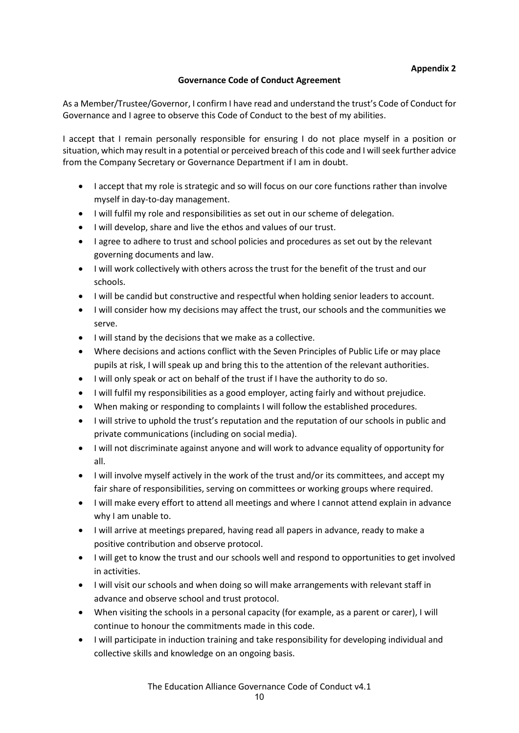## Governance Code of Conduct Agreement

As a Member/Trustee/Governor, I confirm I have read and understand the trust's Code of Conduct for Governance and I agree to observe this Code of Conduct to the best of my abilities.

I accept that I remain personally responsible for ensuring I do not place myself in a position or situation, which may result in a potential or perceived breach of this code and I will seek further advice from the Company Secretary or Governance Department if I am in doubt.

- I accept that my role is strategic and so will focus on our core functions rather than involve myself in day-to-day management.
- I will fulfil my role and responsibilities as set out in our scheme of delegation.
- I will develop, share and live the ethos and values of our trust.
- I agree to adhere to trust and school policies and procedures as set out by the relevant governing documents and law.
- I will work collectively with others across the trust for the benefit of the trust and our schools.
- I will be candid but constructive and respectful when holding senior leaders to account.
- I will consider how my decisions may affect the trust, our schools and the communities we serve.
- I will stand by the decisions that we make as a collective.
- Where decisions and actions conflict with the Seven Principles of Public Life or may place pupils at risk, I will speak up and bring this to the attention of the relevant authorities.
- I will only speak or act on behalf of the trust if I have the authority to do so.
- I will fulfil my responsibilities as a good employer, acting fairly and without prejudice.
- When making or responding to complaints I will follow the established procedures.
- I will strive to uphold the trust's reputation and the reputation of our schools in public and private communications (including on social media).
- I will not discriminate against anyone and will work to advance equality of opportunity for all.
- I will involve myself actively in the work of the trust and/or its committees, and accept my fair share of responsibilities, serving on committees or working groups where required.
- I will make every effort to attend all meetings and where I cannot attend explain in advance why I am unable to.
- I will arrive at meetings prepared, having read all papers in advance, ready to make a positive contribution and observe protocol.
- I will get to know the trust and our schools well and respond to opportunities to get involved in activities.
- I will visit our schools and when doing so will make arrangements with relevant staff in advance and observe school and trust protocol.
- When visiting the schools in a personal capacity (for example, as a parent or carer), I will continue to honour the commitments made in this code.
- I will participate in induction training and take responsibility for developing individual and collective skills and knowledge on an ongoing basis.